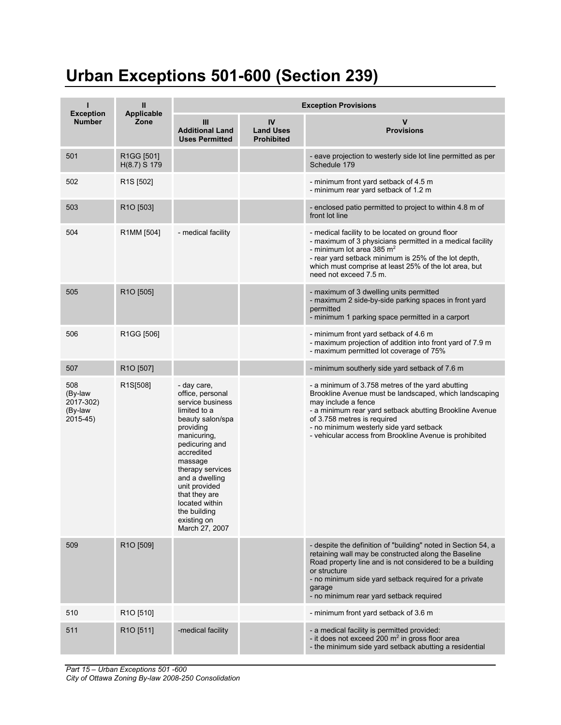## **Urban Exceptions 501-600 (Section 239)**

| <b>Exception</b>                                   | $\mathbf{I}$<br><b>Applicable</b> | <b>Exception Provisions</b>                                                                                                                                                                                                                                                                               |                                             |                                                                                                                                                                                                                                                                                                                                  |  |  |
|----------------------------------------------------|-----------------------------------|-----------------------------------------------------------------------------------------------------------------------------------------------------------------------------------------------------------------------------------------------------------------------------------------------------------|---------------------------------------------|----------------------------------------------------------------------------------------------------------------------------------------------------------------------------------------------------------------------------------------------------------------------------------------------------------------------------------|--|--|
| <b>Number</b>                                      | Zone                              | Ш<br><b>Additional Land</b><br><b>Uses Permitted</b>                                                                                                                                                                                                                                                      | IV<br><b>Land Uses</b><br><b>Prohibited</b> | V<br><b>Provisions</b>                                                                                                                                                                                                                                                                                                           |  |  |
| 501                                                | R1GG [501]<br>H(8.7) S 179        |                                                                                                                                                                                                                                                                                                           |                                             | - eave projection to westerly side lot line permitted as per<br>Schedule 179                                                                                                                                                                                                                                                     |  |  |
| 502                                                | R <sub>1</sub> S [502]            |                                                                                                                                                                                                                                                                                                           |                                             | - minimum front yard setback of 4.5 m<br>- minimum rear yard setback of 1.2 m                                                                                                                                                                                                                                                    |  |  |
| 503                                                | R1O [503]                         |                                                                                                                                                                                                                                                                                                           |                                             | - enclosed patio permitted to project to within 4.8 m of<br>front lot line                                                                                                                                                                                                                                                       |  |  |
| 504                                                | R1MM [504]                        | - medical facility                                                                                                                                                                                                                                                                                        |                                             | - medical facility to be located on ground floor<br>- maximum of 3 physicians permitted in a medical facility<br>- minimum lot area 385 $m2$<br>- rear yard setback minimum is 25% of the lot depth,<br>which must comprise at least 25% of the lot area, but<br>need not exceed 7.5 m.                                          |  |  |
| 505                                                | R <sub>1</sub> O [505]            |                                                                                                                                                                                                                                                                                                           |                                             | - maximum of 3 dwelling units permitted<br>- maximum 2 side-by-side parking spaces in front yard<br>permitted<br>- minimum 1 parking space permitted in a carport                                                                                                                                                                |  |  |
| 506                                                | R1GG [506]                        |                                                                                                                                                                                                                                                                                                           |                                             | - minimum front yard setback of 4.6 m<br>- maximum projection of addition into front yard of 7.9 m<br>- maximum permitted lot coverage of 75%                                                                                                                                                                                    |  |  |
| 507                                                | R <sub>1</sub> O [507]            |                                                                                                                                                                                                                                                                                                           |                                             | - minimum southerly side yard setback of 7.6 m                                                                                                                                                                                                                                                                                   |  |  |
| 508<br>(By-law<br>2017-302)<br>(By-law<br>2015-45) | R1S[508]                          | - day care,<br>office, personal<br>service business<br>limited to a<br>beauty salon/spa<br>providing<br>manicuring,<br>pedicuring and<br>accredited<br>massage<br>therapy services<br>and a dwelling<br>unit provided<br>that they are<br>located within<br>the building<br>existing on<br>March 27, 2007 |                                             | - a minimum of 3.758 metres of the yard abutting<br>Brookline Avenue must be landscaped, which landscaping<br>may include a fence<br>- a minimum rear yard setback abutting Brookline Avenue<br>of 3.758 metres is required<br>- no minimum westerly side yard setback<br>- vehicular access from Brookline Avenue is prohibited |  |  |
| 509                                                | R1O [509]                         |                                                                                                                                                                                                                                                                                                           |                                             | - despite the definition of "building" noted in Section 54, a<br>retaining wall may be constructed along the Baseline<br>Road property line and is not considered to be a building<br>or structure<br>- no minimum side yard setback required for a private<br>garage<br>- no minimum rear yard setback required                 |  |  |
| 510                                                | R <sub>10</sub> [510]             |                                                                                                                                                                                                                                                                                                           |                                             | - minimum front yard setback of 3.6 m                                                                                                                                                                                                                                                                                            |  |  |
| 511                                                | R <sub>10</sub> [511]             | -medical facility                                                                                                                                                                                                                                                                                         |                                             | - a medical facility is permitted provided:<br>- it does not exceed 200 $m2$ in gross floor area<br>- the minimum side yard setback abutting a residential                                                                                                                                                                       |  |  |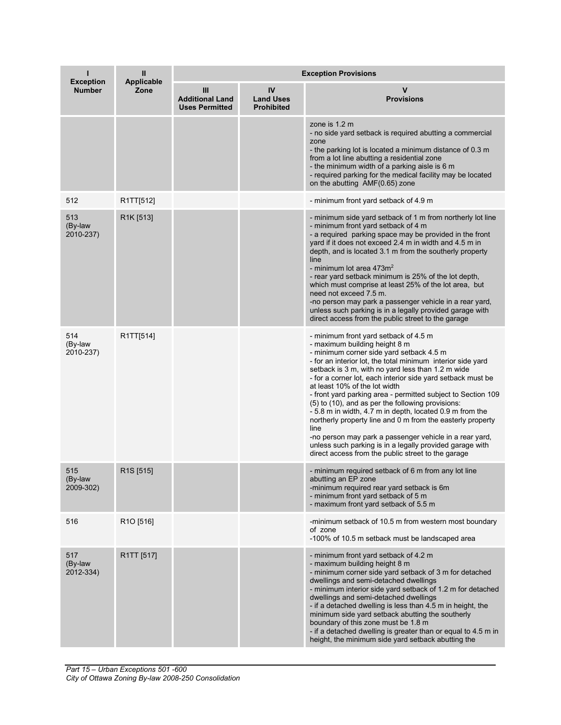| <b>Exception</b>            | Ш<br><b>Applicable</b> | <b>Exception Provisions</b>                          |                                             |                                                                                                                                                                                                                                                                                                                                                                                                                                                                                                                                                                                                                                                                                                                                                                           |  |  |
|-----------------------------|------------------------|------------------------------------------------------|---------------------------------------------|---------------------------------------------------------------------------------------------------------------------------------------------------------------------------------------------------------------------------------------------------------------------------------------------------------------------------------------------------------------------------------------------------------------------------------------------------------------------------------------------------------------------------------------------------------------------------------------------------------------------------------------------------------------------------------------------------------------------------------------------------------------------------|--|--|
| <b>Number</b>               | Zone                   | Ш<br><b>Additional Land</b><br><b>Uses Permitted</b> | IV<br><b>Land Uses</b><br><b>Prohibited</b> | <b>Provisions</b>                                                                                                                                                                                                                                                                                                                                                                                                                                                                                                                                                                                                                                                                                                                                                         |  |  |
|                             |                        |                                                      |                                             | zone is 1.2 m<br>- no side yard setback is required abutting a commercial<br>zone<br>- the parking lot is located a minimum distance of 0.3 m<br>from a lot line abutting a residential zone<br>- the minimum width of a parking aisle is 6 m<br>- required parking for the medical facility may be located<br>on the abutting AMF(0.65) zone                                                                                                                                                                                                                                                                                                                                                                                                                             |  |  |
| 512                         | R1TT[512]              |                                                      |                                             | - minimum front yard setback of 4.9 m                                                                                                                                                                                                                                                                                                                                                                                                                                                                                                                                                                                                                                                                                                                                     |  |  |
| 513<br>(By-law<br>2010-237) | R1K [513]              |                                                      |                                             | - minimum side yard setback of 1 m from northerly lot line<br>- minimum front yard setback of 4 m<br>- a required parking space may be provided in the front<br>yard if it does not exceed 2.4 m in width and 4.5 m in<br>depth, and is located 3.1 m from the southerly property<br>line<br>- minimum lot area $473m2$<br>- rear yard setback minimum is 25% of the lot depth,<br>which must comprise at least 25% of the lot area, but<br>need not exceed 7.5 m.<br>-no person may park a passenger vehicle in a rear yard,<br>unless such parking is in a legally provided garage with<br>direct access from the public street to the garage                                                                                                                           |  |  |
| 514<br>(By-law<br>2010-237) | R1TT[514]              |                                                      |                                             | - minimum front yard setback of 4.5 m<br>- maximum building height 8 m<br>- minimum corner side yard setback 4.5 m<br>- for an interior lot, the total minimum interior side yard<br>setback is 3 m, with no yard less than 1.2 m wide<br>- for a corner lot, each interior side yard setback must be<br>at least 10% of the lot width<br>- front yard parking area - permitted subject to Section 109<br>(5) to (10), and as per the following provisions:<br>-5.8 m in width, 4.7 m in depth, located 0.9 m from the<br>northerly property line and 0 m from the easterly property<br>line<br>-no person may park a passenger vehicle in a rear yard,<br>unless such parking is in a legally provided garage with<br>direct access from the public street to the garage |  |  |
| 515<br>(By-law<br>2009-302) | R <sub>1</sub> S [515] |                                                      |                                             | - minimum required setback of 6 m from any lot line<br>abutting an EP zone<br>-minimum required rear yard setback is 6m<br>- minimum front yard setback of 5 m<br>- maximum front yard setback of 5.5 m                                                                                                                                                                                                                                                                                                                                                                                                                                                                                                                                                                   |  |  |
| 516                         | R <sub>1</sub> O [516] |                                                      |                                             | -minimum setback of 10.5 m from western most boundary<br>of zone<br>-100% of 10.5 m setback must be landscaped area                                                                                                                                                                                                                                                                                                                                                                                                                                                                                                                                                                                                                                                       |  |  |
| 517<br>(By-law<br>2012-334) | R1TT [517]             |                                                      |                                             | - minimum front yard setback of 4.2 m<br>- maximum building height 8 m<br>- minimum corner side yard setback of 3 m for detached<br>dwellings and semi-detached dwellings<br>- minimum interior side yard setback of 1.2 m for detached<br>dwellings and semi-detached dwellings<br>- if a detached dwelling is less than 4.5 m in height, the<br>minimum side yard setback abutting the southerly<br>boundary of this zone must be 1.8 m<br>- if a detached dwelling is greater than or equal to 4.5 m in<br>height, the minimum side yard setback abutting the                                                                                                                                                                                                          |  |  |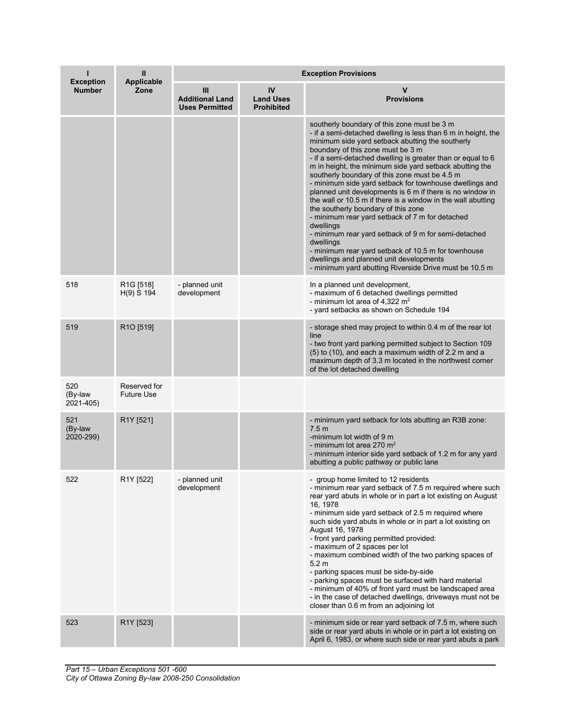| <b>Exception</b>            | Ш<br><b>Applicable</b>               | <b>Exception Provisions</b>                          |                                             |                                                                                                                                                                                                                                                                                                                                                                                                                                                                                                                                                                                                                                                                                                                                                                                                                                                                                                                  |  |  |
|-----------------------------|--------------------------------------|------------------------------------------------------|---------------------------------------------|------------------------------------------------------------------------------------------------------------------------------------------------------------------------------------------------------------------------------------------------------------------------------------------------------------------------------------------------------------------------------------------------------------------------------------------------------------------------------------------------------------------------------------------------------------------------------------------------------------------------------------------------------------------------------------------------------------------------------------------------------------------------------------------------------------------------------------------------------------------------------------------------------------------|--|--|
| <b>Number</b>               | Zone                                 | Ш<br><b>Additional Land</b><br><b>Uses Permitted</b> | IV<br><b>Land Uses</b><br><b>Prohibited</b> | v<br><b>Provisions</b>                                                                                                                                                                                                                                                                                                                                                                                                                                                                                                                                                                                                                                                                                                                                                                                                                                                                                           |  |  |
|                             |                                      |                                                      |                                             | southerly boundary of this zone must be 3 m<br>- if a semi-detached dwelling is less than 6 m in height, the<br>minimum side yard setback abutting the southerly<br>boundary of this zone must be 3 m<br>- if a semi-detached dwelling is greater than or equal to 6<br>m in height, the minimum side yard setback abutting the<br>southerly boundary of this zone must be 4.5 m<br>- minimum side yard setback for townhouse dwellings and<br>planned unit developments is 6 m if there is no window in<br>the wall or 10.5 m if there is a window in the wall abutting<br>the southerly boundary of this zone<br>- minimum rear yard setback of 7 m for detached<br>dwellings<br>- minimum rear yard setback of 9 m for semi-detached<br>dwellings<br>- minimum rear yard setback of 10.5 m for townhouse<br>dwellings and planned unit developments<br>- minimum yard abutting Riverside Drive must be 10.5 m |  |  |
| 518                         | R <sub>1</sub> G [518]<br>H(9) S 194 | - planned unit<br>development                        |                                             | In a planned unit development,<br>- maximum of 6 detached dwellings permitted<br>- minimum lot area of 4,322 $m2$<br>- yard setbacks as shown on Schedule 194                                                                                                                                                                                                                                                                                                                                                                                                                                                                                                                                                                                                                                                                                                                                                    |  |  |
| 519                         | R <sub>1</sub> O [519]               |                                                      |                                             | - storage shed may project to within 0.4 m of the rear lot<br>line<br>- two front yard parking permitted subject to Section 109<br>(5) to (10), and each a maximum width of 2.2 m and a<br>maximum depth of 3.3 m located in the northwest corner<br>of the lot detached dwelling                                                                                                                                                                                                                                                                                                                                                                                                                                                                                                                                                                                                                                |  |  |
| 520<br>(By-law<br>2021-405) | Reserved for<br><b>Future Use</b>    |                                                      |                                             |                                                                                                                                                                                                                                                                                                                                                                                                                                                                                                                                                                                                                                                                                                                                                                                                                                                                                                                  |  |  |
| 521<br>(By-law<br>2020-299) | R1Y [521]                            |                                                      |                                             | - minimum yard setback for lots abutting an R3B zone:<br>7.5 <sub>m</sub><br>-minimum lot width of 9 m<br>- minimum lot area 270 $m2$<br>- minimum interior side yard setback of 1.2 m for any yard<br>abutting a public pathway or public lane                                                                                                                                                                                                                                                                                                                                                                                                                                                                                                                                                                                                                                                                  |  |  |
| 522                         | R1Y [522]                            | - planned unit<br>development                        |                                             | - group home limited to 12 residents<br>- minimum rear yard setback of 7.5 m required where such<br>rear yard abuts in whole or in part a lot existing on August<br>16, 1978<br>- minimum side yard setback of 2.5 m required where<br>such side yard abuts in whole or in part a lot existing on<br>August 16, 1978<br>- front yard parking permitted provided:<br>- maximum of 2 spaces per lot<br>- maximum combined width of the two parking spaces of<br>5.2 m<br>- parking spaces must be side-by-side<br>- parking spaces must be surfaced with hard material<br>- minimum of 40% of front yard must be landscaped area<br>- in the case of detached dwellings, driveways must not be<br>closer than 0.6 m from an adjoining lot                                                                                                                                                                          |  |  |
| 523                         | R1Y [523]                            |                                                      |                                             | - minimum side or rear yard setback of 7.5 m, where such<br>side or rear yard abuts in whole or in part a lot existing on<br>April 6, 1983, or where such side or rear yard abuts a park                                                                                                                                                                                                                                                                                                                                                                                                                                                                                                                                                                                                                                                                                                                         |  |  |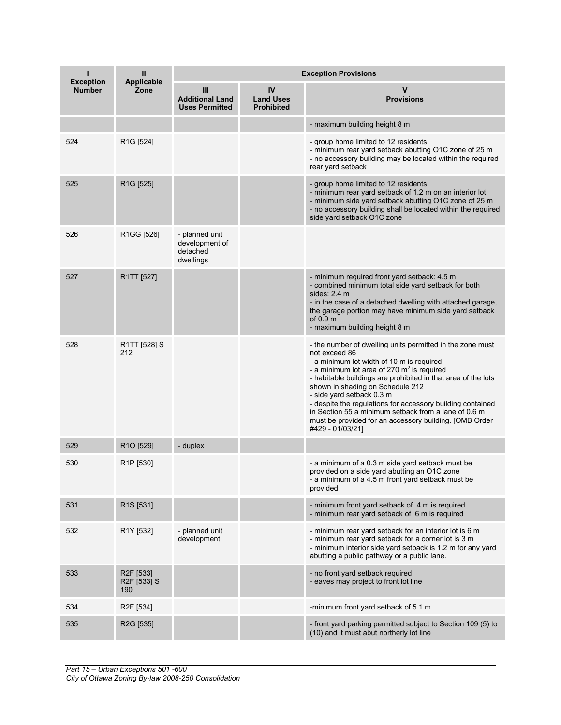| <b>Exception</b> | Ш<br><b>Applicable</b>                       | <b>Exception Provisions</b>                               |                                             |                                                                                                                                                                                                                                                                                                                                                                                                                                                                                                               |  |  |
|------------------|----------------------------------------------|-----------------------------------------------------------|---------------------------------------------|---------------------------------------------------------------------------------------------------------------------------------------------------------------------------------------------------------------------------------------------------------------------------------------------------------------------------------------------------------------------------------------------------------------------------------------------------------------------------------------------------------------|--|--|
| <b>Number</b>    | Zone                                         | Ш<br><b>Additional Land</b><br><b>Uses Permitted</b>      | IV<br><b>Land Uses</b><br><b>Prohibited</b> | v<br><b>Provisions</b>                                                                                                                                                                                                                                                                                                                                                                                                                                                                                        |  |  |
|                  |                                              |                                                           |                                             | - maximum building height 8 m                                                                                                                                                                                                                                                                                                                                                                                                                                                                                 |  |  |
| 524              | R <sub>1</sub> G [524]                       |                                                           |                                             | - group home limited to 12 residents<br>- minimum rear yard setback abutting O1C zone of 25 m<br>- no accessory building may be located within the required<br>rear yard setback                                                                                                                                                                                                                                                                                                                              |  |  |
| 525              | R <sub>1</sub> G [525]                       |                                                           |                                             | - group home limited to 12 residents<br>- minimum rear yard setback of 1.2 m on an interior lot<br>- minimum side yard setback abutting O1C zone of 25 m<br>- no accessory building shall be located within the required<br>side yard setback O1C zone                                                                                                                                                                                                                                                        |  |  |
| 526              | R1GG [526]                                   | - planned unit<br>development of<br>detached<br>dwellings |                                             |                                                                                                                                                                                                                                                                                                                                                                                                                                                                                                               |  |  |
| 527              | R1TT [527]                                   |                                                           |                                             | - minimum required front yard setback: 4.5 m<br>- combined minimum total side yard setback for both<br>sides: $2.4 \text{ m}$<br>- in the case of a detached dwelling with attached garage,<br>the garage portion may have minimum side yard setback<br>of $0.9m$<br>- maximum building height 8 m                                                                                                                                                                                                            |  |  |
| 528              | R1TT [528] S<br>212                          |                                                           |                                             | - the number of dwelling units permitted in the zone must<br>not exceed 86<br>- a minimum lot width of 10 m is required<br>- a minimum lot area of 270 $m2$ is required<br>- habitable buildings are prohibited in that area of the lots<br>shown in shading on Schedule 212<br>- side yard setback 0.3 m<br>- despite the regulations for accessory building contained<br>in Section 55 a minimum setback from a lane of 0.6 m<br>must be provided for an accessory building. [OMB Order<br>#429 - 01/03/21] |  |  |
| 529              | R1O [529]                                    | - duplex                                                  |                                             |                                                                                                                                                                                                                                                                                                                                                                                                                                                                                                               |  |  |
| 530              | R <sub>1</sub> P [530]                       |                                                           |                                             | - a minimum of a 0.3 m side yard setback must be<br>provided on a side yard abutting an O1C zone<br>- a minimum of a 4.5 m front yard setback must be<br>provided                                                                                                                                                                                                                                                                                                                                             |  |  |
| 531              | R <sub>1</sub> S <sub>[531]</sub>            |                                                           |                                             | - minimum front yard setback of 4 m is required<br>- minimum rear yard setback of 6 m is required                                                                                                                                                                                                                                                                                                                                                                                                             |  |  |
| 532              | R1Y [532]                                    | - planned unit<br>development                             |                                             | - minimum rear yard setback for an interior lot is 6 m<br>- minimum rear yard setback for a corner lot is 3 m<br>- minimum interior side yard setback is 1.2 m for any yard<br>abutting a public pathway or a public lane.                                                                                                                                                                                                                                                                                    |  |  |
| 533              | R <sub>2</sub> F [533]<br>R2F [533] S<br>190 |                                                           |                                             | - no front yard setback required<br>- eaves may project to front lot line                                                                                                                                                                                                                                                                                                                                                                                                                                     |  |  |
| 534              | R <sub>2</sub> F [534]                       |                                                           |                                             | -minimum front yard setback of 5.1 m                                                                                                                                                                                                                                                                                                                                                                                                                                                                          |  |  |
| 535              | R <sub>2</sub> G [535]                       |                                                           |                                             | - front yard parking permitted subject to Section 109 (5) to<br>(10) and it must abut northerly lot line                                                                                                                                                                                                                                                                                                                                                                                                      |  |  |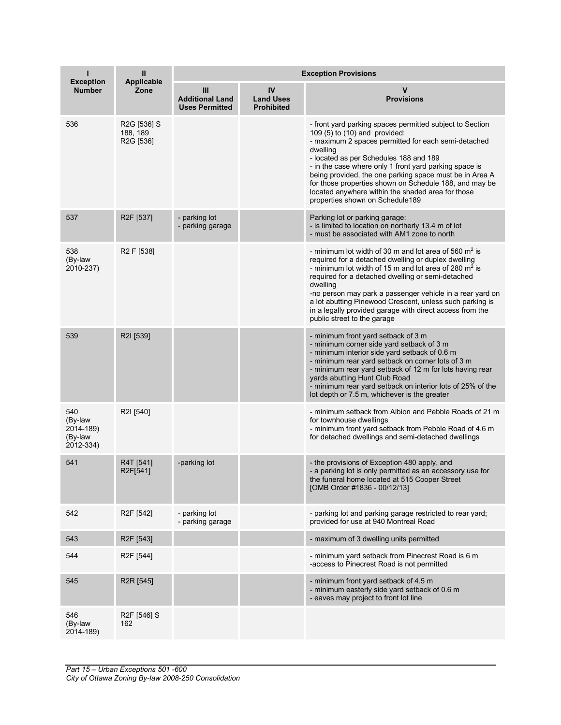| <b>Exception</b>                                    | Ш<br><b>Applicable</b>               | <b>Exception Provisions</b>                          |                                             |                                                                                                                                                                                                                                                                                                                                                                                                                                                                               |  |
|-----------------------------------------------------|--------------------------------------|------------------------------------------------------|---------------------------------------------|-------------------------------------------------------------------------------------------------------------------------------------------------------------------------------------------------------------------------------------------------------------------------------------------------------------------------------------------------------------------------------------------------------------------------------------------------------------------------------|--|
| <b>Number</b>                                       | Zone                                 | Ш<br><b>Additional Land</b><br><b>Uses Permitted</b> | IV<br><b>Land Uses</b><br><b>Prohibited</b> | ν<br><b>Provisions</b>                                                                                                                                                                                                                                                                                                                                                                                                                                                        |  |
| 536                                                 | R2G [536] S<br>188, 189<br>R2G [536] |                                                      |                                             | - front yard parking spaces permitted subject to Section<br>109 (5) to (10) and provided:<br>- maximum 2 spaces permitted for each semi-detached<br>dwelling<br>- located as per Schedules 188 and 189<br>- in the case where only 1 front yard parking space is<br>being provided, the one parking space must be in Area A<br>for those properties shown on Schedule 188, and may be<br>located anywhere within the shaded area for those<br>properties shown on Schedule189 |  |
| 537                                                 | R <sub>2</sub> F [537]               | - parking lot<br>- parking garage                    |                                             | Parking lot or parking garage:<br>- is limited to location on northerly 13.4 m of lot<br>- must be associated with AM1 zone to north                                                                                                                                                                                                                                                                                                                                          |  |
| 538<br>(By-law<br>2010-237)                         | R <sub>2</sub> F [538]               |                                                      |                                             | - minimum lot width of 30 m and lot area of 560 $m2$ is<br>required for a detached dwelling or duplex dwelling<br>- minimum lot width of 15 m and lot area of 280 $m2$ is<br>required for a detached dwelling or semi-detached<br>dwelling<br>-no person may park a passenger vehicle in a rear yard on<br>a lot abutting Pinewood Crescent, unless such parking is<br>in a legally provided garage with direct access from the<br>public street to the garage                |  |
| 539                                                 | R2I [539]                            |                                                      |                                             | - minimum front yard setback of 3 m<br>- minimum corner side yard setback of 3 m<br>- minimum interior side yard setback of 0.6 m<br>- minimum rear yard setback on corner lots of 3 m<br>- minimum rear yard setback of 12 m for lots having rear<br>yards abutting Hunt Club Road<br>- minimum rear yard setback on interior lots of 25% of the<br>lot depth or 7.5 m, whichever is the greater                                                                             |  |
| 540<br>(By-law<br>2014-189)<br>(By-law<br>2012-334) | R2I [540]                            |                                                      |                                             | - minimum setback from Albion and Pebble Roads of 21 m<br>for townhouse dwellings<br>- minimum front yard setback from Pebble Road of 4.6 m<br>for detached dwellings and semi-detached dwellings                                                                                                                                                                                                                                                                             |  |
| 541                                                 | R4T [541]<br>R2F[541]                | -parking lot                                         |                                             | - the provisions of Exception 480 apply, and<br>- a parking lot is only permitted as an accessory use for<br>the funeral home located at 515 Cooper Street<br>[OMB Order #1836 - 00/12/13]                                                                                                                                                                                                                                                                                    |  |
| 542                                                 | R <sub>2</sub> F [542]               | - parking lot<br>- parking garage                    |                                             | - parking lot and parking garage restricted to rear yard;<br>provided for use at 940 Montreal Road                                                                                                                                                                                                                                                                                                                                                                            |  |
| 543                                                 | R <sub>2</sub> F [543]               |                                                      |                                             | - maximum of 3 dwelling units permitted                                                                                                                                                                                                                                                                                                                                                                                                                                       |  |
| 544                                                 | R2F [544]                            |                                                      |                                             | - minimum yard setback from Pinecrest Road is 6 m<br>-access to Pinecrest Road is not permitted                                                                                                                                                                                                                                                                                                                                                                               |  |
| 545                                                 | R <sub>2</sub> R [545]               |                                                      |                                             | - minimum front yard setback of 4.5 m<br>- minimum easterly side yard setback of 0.6 m<br>- eaves may project to front lot line                                                                                                                                                                                                                                                                                                                                               |  |
| 546<br>(By-law<br>2014-189)                         | R <sub>2</sub> F [546] S<br>162      |                                                      |                                             |                                                                                                                                                                                                                                                                                                                                                                                                                                                                               |  |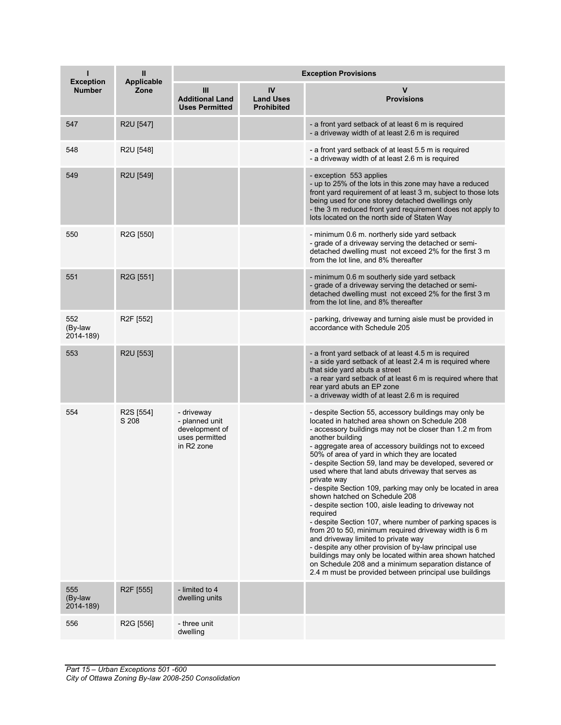| <b>Exception</b>            | Ш<br>Applicable        | <b>Exception Provisions</b>                                                                |                                             |                                                                                                                                                                                                                                                                                                                                                                                                                                                                                                                                                                                                                                                                                                                                                                                                                                                                                                                                                                                                      |  |  |
|-----------------------------|------------------------|--------------------------------------------------------------------------------------------|---------------------------------------------|------------------------------------------------------------------------------------------------------------------------------------------------------------------------------------------------------------------------------------------------------------------------------------------------------------------------------------------------------------------------------------------------------------------------------------------------------------------------------------------------------------------------------------------------------------------------------------------------------------------------------------------------------------------------------------------------------------------------------------------------------------------------------------------------------------------------------------------------------------------------------------------------------------------------------------------------------------------------------------------------------|--|--|
| <b>Number</b>               | Zone                   | Ш<br><b>Additional Land</b><br><b>Uses Permitted</b>                                       | IV<br><b>Land Uses</b><br><b>Prohibited</b> | <b>Provisions</b>                                                                                                                                                                                                                                                                                                                                                                                                                                                                                                                                                                                                                                                                                                                                                                                                                                                                                                                                                                                    |  |  |
| 547                         | R2U [547]              |                                                                                            |                                             | - a front yard setback of at least 6 m is required<br>- a driveway width of at least 2.6 m is required                                                                                                                                                                                                                                                                                                                                                                                                                                                                                                                                                                                                                                                                                                                                                                                                                                                                                               |  |  |
| 548                         | R2U [548]              |                                                                                            |                                             | - a front yard setback of at least 5.5 m is required<br>- a driveway width of at least 2.6 m is required                                                                                                                                                                                                                                                                                                                                                                                                                                                                                                                                                                                                                                                                                                                                                                                                                                                                                             |  |  |
| 549                         | R2U [549]              |                                                                                            |                                             | - exception 553 applies<br>- up to 25% of the lots in this zone may have a reduced<br>front yard requirement of at least 3 m, subject to those lots<br>being used for one storey detached dwellings only<br>- the 3 m reduced front yard requirement does not apply to<br>lots located on the north side of Staten Way                                                                                                                                                                                                                                                                                                                                                                                                                                                                                                                                                                                                                                                                               |  |  |
| 550                         | R2G [550]              |                                                                                            |                                             | - minimum 0.6 m. northerly side yard setback<br>- grade of a driveway serving the detached or semi-<br>detached dwelling must not exceed 2% for the first 3 m<br>from the lot line, and 8% thereafter                                                                                                                                                                                                                                                                                                                                                                                                                                                                                                                                                                                                                                                                                                                                                                                                |  |  |
| 551                         | R2G [551]              |                                                                                            |                                             | - minimum 0.6 m southerly side yard setback<br>- grade of a driveway serving the detached or semi-<br>detached dwelling must not exceed 2% for the first 3 m<br>from the lot line, and 8% thereafter                                                                                                                                                                                                                                                                                                                                                                                                                                                                                                                                                                                                                                                                                                                                                                                                 |  |  |
| 552<br>(By-law<br>2014-189) | R <sub>2</sub> F [552] |                                                                                            |                                             | - parking, driveway and turning aisle must be provided in<br>accordance with Schedule 205                                                                                                                                                                                                                                                                                                                                                                                                                                                                                                                                                                                                                                                                                                                                                                                                                                                                                                            |  |  |
| 553                         | R2U [553]              |                                                                                            |                                             | - a front yard setback of at least 4.5 m is required<br>- a side yard setback of at least 2.4 m is required where<br>that side yard abuts a street<br>- a rear yard setback of at least 6 m is required where that<br>rear yard abuts an EP zone<br>- a driveway width of at least 2.6 m is required                                                                                                                                                                                                                                                                                                                                                                                                                                                                                                                                                                                                                                                                                                 |  |  |
| 554                         | R2S [554]<br>S 208     | - driveway<br>- planned unit<br>development of<br>uses permitted<br>in R <sub>2</sub> zone |                                             | - despite Section 55, accessory buildings may only be<br>located in hatched area shown on Schedule 208<br>- accessory buildings may not be closer than 1.2 m from<br>another building<br>- aggregate area of accessory buildings not to exceed<br>50% of area of yard in which they are located<br>- despite Section 59, land may be developed, severed or<br>used where that land abuts driveway that serves as<br>private way<br>- despite Section 109, parking may only be located in area<br>shown hatched on Schedule 208<br>- despite section 100, aisle leading to driveway not<br>required<br>- despite Section 107, where number of parking spaces is<br>from 20 to 50, minimum required driveway width is 6 m<br>and driveway limited to private way<br>- despite any other provision of by-law principal use<br>buildings may only be located within area shown hatched<br>on Schedule 208 and a minimum separation distance of<br>2.4 m must be provided between principal use buildings |  |  |
| 555<br>(By-law<br>2014-189) | R <sub>2</sub> F [555] | - limited to 4<br>dwelling units                                                           |                                             |                                                                                                                                                                                                                                                                                                                                                                                                                                                                                                                                                                                                                                                                                                                                                                                                                                                                                                                                                                                                      |  |  |
| 556                         | R2G [556]              | - three unit<br>dwelling                                                                   |                                             |                                                                                                                                                                                                                                                                                                                                                                                                                                                                                                                                                                                                                                                                                                                                                                                                                                                                                                                                                                                                      |  |  |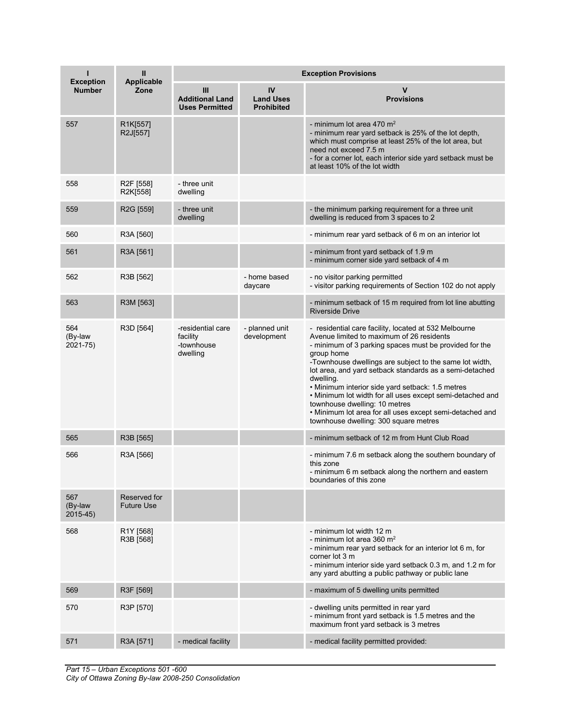| ı<br><b>Exception</b>         | Ш<br><b>Applicable</b>             | <b>Exception Provisions</b>                             |                                             |                                                                                                                                                                                                                                                                                                                                                                                                                                                                                                                                                                      |  |
|-------------------------------|------------------------------------|---------------------------------------------------------|---------------------------------------------|----------------------------------------------------------------------------------------------------------------------------------------------------------------------------------------------------------------------------------------------------------------------------------------------------------------------------------------------------------------------------------------------------------------------------------------------------------------------------------------------------------------------------------------------------------------------|--|
| <b>Number</b>                 | Zone                               | Ш<br><b>Additional Land</b><br><b>Uses Permitted</b>    | IV<br><b>Land Uses</b><br><b>Prohibited</b> | <b>Provisions</b>                                                                                                                                                                                                                                                                                                                                                                                                                                                                                                                                                    |  |
| 557                           | R1K[557]<br>R2J[557]               |                                                         |                                             | - minimum lot area 470 $m2$<br>- minimum rear yard setback is 25% of the lot depth,<br>which must comprise at least 25% of the lot area, but<br>need not exceed 7.5 m<br>- for a corner lot, each interior side yard setback must be<br>at least 10% of the lot width                                                                                                                                                                                                                                                                                                |  |
| 558                           | R <sub>2</sub> F [558]<br>R2K[558] | - three unit<br>dwelling                                |                                             |                                                                                                                                                                                                                                                                                                                                                                                                                                                                                                                                                                      |  |
| 559                           | R2G [559]                          | - three unit<br>dwelling                                |                                             | - the minimum parking requirement for a three unit<br>dwelling is reduced from 3 spaces to 2                                                                                                                                                                                                                                                                                                                                                                                                                                                                         |  |
| 560                           | R3A [560]                          |                                                         |                                             | - minimum rear yard setback of 6 m on an interior lot                                                                                                                                                                                                                                                                                                                                                                                                                                                                                                                |  |
| 561                           | R3A [561]                          |                                                         |                                             | - minimum front yard setback of 1.9 m<br>- minimum corner side yard setback of 4 m                                                                                                                                                                                                                                                                                                                                                                                                                                                                                   |  |
| 562                           | R3B [562]                          |                                                         | - home based<br>daycare                     | - no visitor parking permitted<br>- visitor parking requirements of Section 102 do not apply                                                                                                                                                                                                                                                                                                                                                                                                                                                                         |  |
| 563                           | R3M [563]                          |                                                         |                                             | - minimum setback of 15 m required from lot line abutting<br><b>Riverside Drive</b>                                                                                                                                                                                                                                                                                                                                                                                                                                                                                  |  |
| 564<br>(By-law<br>2021-75)    | R3D [564]                          | -residential care<br>facility<br>-townhouse<br>dwelling | - planned unit<br>development               | - residential care facility, located at 532 Melbourne<br>Avenue limited to maximum of 26 residents<br>- minimum of 3 parking spaces must be provided for the<br>group home<br>-Townhouse dwellings are subject to the same lot width,<br>lot area, and yard setback standards as a semi-detached<br>dwelling.<br>· Minimum interior side yard setback: 1.5 metres<br>. Minimum lot width for all uses except semi-detached and<br>townhouse dwelling: 10 metres<br>. Minimum lot area for all uses except semi-detached and<br>townhouse dwelling: 300 square metres |  |
| 565                           | R3B [565]                          |                                                         |                                             | - minimum setback of 12 m from Hunt Club Road                                                                                                                                                                                                                                                                                                                                                                                                                                                                                                                        |  |
| 566                           | R3A [566]                          |                                                         |                                             | - minimum 7.6 m setback along the southern boundary of<br>this zone<br>- minimum 6 m setback along the northern and eastern<br>boundaries of this zone                                                                                                                                                                                                                                                                                                                                                                                                               |  |
| 567<br>(By-law<br>$2015 - 45$ | Reserved for<br><b>Future Use</b>  |                                                         |                                             |                                                                                                                                                                                                                                                                                                                                                                                                                                                                                                                                                                      |  |
| 568                           | R1Y [568]<br>R3B [568]             |                                                         |                                             | - minimum lot width 12 m<br>- minimum lot area 360 m <sup>2</sup><br>- minimum rear yard setback for an interior lot 6 m, for<br>corner lot 3 m<br>- minimum interior side yard setback 0.3 m, and 1.2 m for<br>any yard abutting a public pathway or public lane                                                                                                                                                                                                                                                                                                    |  |
| 569                           | R3F [569]                          |                                                         |                                             | - maximum of 5 dwelling units permitted                                                                                                                                                                                                                                                                                                                                                                                                                                                                                                                              |  |
| 570                           | R3P [570]                          |                                                         |                                             | - dwelling units permitted in rear yard<br>- minimum front yard setback is 1.5 metres and the<br>maximum front yard setback is 3 metres                                                                                                                                                                                                                                                                                                                                                                                                                              |  |
| 571                           | R3A [571]                          | - medical facility                                      |                                             | - medical facility permitted provided:                                                                                                                                                                                                                                                                                                                                                                                                                                                                                                                               |  |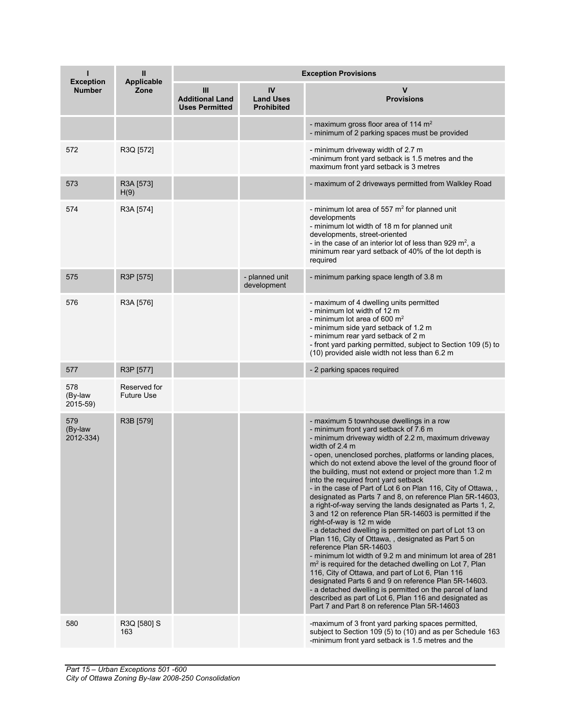| <b>Exception</b>            | Ш<br><b>Applicable</b>            | <b>Exception Provisions</b>                          |                                             |                                                                                                                                                                                                                                                                                                                                                                                                                                                                                                                                                                                                                                                                                                                                                                                                                                                                                                                                                                                                                                                                                                                                                                                                                                     |  |  |
|-----------------------------|-----------------------------------|------------------------------------------------------|---------------------------------------------|-------------------------------------------------------------------------------------------------------------------------------------------------------------------------------------------------------------------------------------------------------------------------------------------------------------------------------------------------------------------------------------------------------------------------------------------------------------------------------------------------------------------------------------------------------------------------------------------------------------------------------------------------------------------------------------------------------------------------------------------------------------------------------------------------------------------------------------------------------------------------------------------------------------------------------------------------------------------------------------------------------------------------------------------------------------------------------------------------------------------------------------------------------------------------------------------------------------------------------------|--|--|
| <b>Number</b>               | Zone                              | Ш<br><b>Additional Land</b><br><b>Uses Permitted</b> | IV<br><b>Land Uses</b><br><b>Prohibited</b> | v<br><b>Provisions</b>                                                                                                                                                                                                                                                                                                                                                                                                                                                                                                                                                                                                                                                                                                                                                                                                                                                                                                                                                                                                                                                                                                                                                                                                              |  |  |
|                             |                                   |                                                      |                                             | - maximum gross floor area of 114 m <sup>2</sup><br>- minimum of 2 parking spaces must be provided                                                                                                                                                                                                                                                                                                                                                                                                                                                                                                                                                                                                                                                                                                                                                                                                                                                                                                                                                                                                                                                                                                                                  |  |  |
| 572                         | R3Q [572]                         |                                                      |                                             | - minimum driveway width of 2.7 m<br>-minimum front yard setback is 1.5 metres and the<br>maximum front yard setback is 3 metres                                                                                                                                                                                                                                                                                                                                                                                                                                                                                                                                                                                                                                                                                                                                                                                                                                                                                                                                                                                                                                                                                                    |  |  |
| 573                         | R3A [573]<br>H(9)                 |                                                      |                                             | - maximum of 2 driveways permitted from Walkley Road                                                                                                                                                                                                                                                                                                                                                                                                                                                                                                                                                                                                                                                                                                                                                                                                                                                                                                                                                                                                                                                                                                                                                                                |  |  |
| 574                         | R3A [574]                         |                                                      |                                             | - minimum lot area of 557 $m2$ for planned unit<br>developments<br>- minimum lot width of 18 m for planned unit<br>developments, street-oriented<br>- in the case of an interior lot of less than 929 $m^2$ , a<br>minimum rear yard setback of 40% of the lot depth is<br>required                                                                                                                                                                                                                                                                                                                                                                                                                                                                                                                                                                                                                                                                                                                                                                                                                                                                                                                                                 |  |  |
| 575                         | R3P [575]                         |                                                      | - planned unit<br>development               | - minimum parking space length of 3.8 m                                                                                                                                                                                                                                                                                                                                                                                                                                                                                                                                                                                                                                                                                                                                                                                                                                                                                                                                                                                                                                                                                                                                                                                             |  |  |
| 576                         | R3A [576]                         |                                                      |                                             | - maximum of 4 dwelling units permitted<br>- minimum lot width of 12 m<br>- minimum lot area of 600 $m2$<br>- minimum side yard setback of 1.2 m<br>- minimum rear yard setback of 2 m<br>- front yard parking permitted, subject to Section 109 (5) to<br>(10) provided aisle width not less than 6.2 m                                                                                                                                                                                                                                                                                                                                                                                                                                                                                                                                                                                                                                                                                                                                                                                                                                                                                                                            |  |  |
| 577                         | R3P [577]                         |                                                      |                                             | - 2 parking spaces required                                                                                                                                                                                                                                                                                                                                                                                                                                                                                                                                                                                                                                                                                                                                                                                                                                                                                                                                                                                                                                                                                                                                                                                                         |  |  |
| 578<br>(By-law<br>2015-59)  | Reserved for<br><b>Future Use</b> |                                                      |                                             |                                                                                                                                                                                                                                                                                                                                                                                                                                                                                                                                                                                                                                                                                                                                                                                                                                                                                                                                                                                                                                                                                                                                                                                                                                     |  |  |
| 579<br>(By-law<br>2012-334) | R3B [579]                         |                                                      |                                             | - maximum 5 townhouse dwellings in a row<br>- minimum front yard setback of 7.6 m<br>- minimum driveway width of 2.2 m, maximum driveway<br>width of 2.4 m<br>- open, unenclosed porches, platforms or landing places,<br>which do not extend above the level of the ground floor of<br>the building, must not extend or project more than 1.2 m<br>into the required front yard setback<br>- in the case of Part of Lot 6 on Plan 116, City of Ottawa, .<br>designated as Parts 7 and 8, on reference Plan 5R-14603,<br>a right-of-way serving the lands designated as Parts 1, 2,<br>3 and 12 on reference Plan 5R-14603 is permitted if the<br>right-of-way is 12 m wide<br>- a detached dwelling is permitted on part of Lot 13 on<br>Plan 116, City of Ottawa, , designated as Part 5 on<br>reference Plan 5R-14603<br>- minimum lot width of 9.2 m and minimum lot area of 281<br>$m2$ is required for the detached dwelling on Lot 7, Plan<br>116, City of Ottawa, and part of Lot 6, Plan 116<br>designated Parts 6 and 9 on reference Plan 5R-14603.<br>- a detached dwelling is permitted on the parcel of land<br>described as part of Lot 6, Plan 116 and designated as<br>Part 7 and Part 8 on reference Plan 5R-14603 |  |  |
| 580                         | R3Q [580] S<br>163                |                                                      |                                             | -maximum of 3 front yard parking spaces permitted,<br>subject to Section 109 (5) to (10) and as per Schedule 163<br>-minimum front yard setback is 1.5 metres and the                                                                                                                                                                                                                                                                                                                                                                                                                                                                                                                                                                                                                                                                                                                                                                                                                                                                                                                                                                                                                                                               |  |  |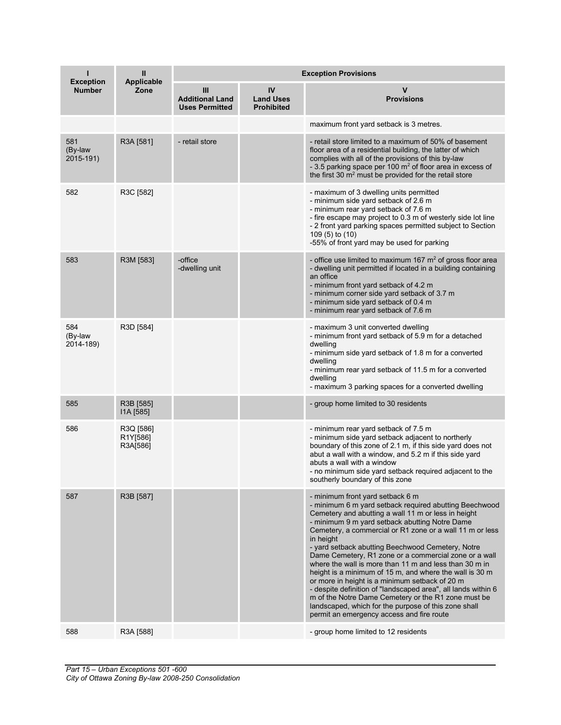| <b>Exception</b>            | Ш<br><b>Applicable</b>            | <b>Exception Provisions</b>                          |                                             |                                                                                                                                                                                                                                                                                                                                                                                                                                                                                                                                                                                                                                                                                                                                                                                                |  |
|-----------------------------|-----------------------------------|------------------------------------------------------|---------------------------------------------|------------------------------------------------------------------------------------------------------------------------------------------------------------------------------------------------------------------------------------------------------------------------------------------------------------------------------------------------------------------------------------------------------------------------------------------------------------------------------------------------------------------------------------------------------------------------------------------------------------------------------------------------------------------------------------------------------------------------------------------------------------------------------------------------|--|
| <b>Number</b>               | Zone                              | Ш<br><b>Additional Land</b><br><b>Uses Permitted</b> | IV<br><b>Land Uses</b><br><b>Prohibited</b> | v<br><b>Provisions</b>                                                                                                                                                                                                                                                                                                                                                                                                                                                                                                                                                                                                                                                                                                                                                                         |  |
|                             |                                   |                                                      |                                             | maximum front yard setback is 3 metres.                                                                                                                                                                                                                                                                                                                                                                                                                                                                                                                                                                                                                                                                                                                                                        |  |
| 581<br>(By-law<br>2015-191) | R3A [581]                         | - retail store                                       |                                             | - retail store limited to a maximum of 50% of basement<br>floor area of a residential building, the latter of which<br>complies with all of the provisions of this by-law<br>- 3.5 parking space per 100 m <sup>2</sup> of floor area in excess of<br>the first 30 m <sup>2</sup> must be provided for the retail store                                                                                                                                                                                                                                                                                                                                                                                                                                                                        |  |
| 582                         | R3C [582]                         |                                                      |                                             | - maximum of 3 dwelling units permitted<br>- minimum side yard setback of 2.6 m<br>- minimum rear yard setback of 7.6 m<br>- fire escape may project to 0.3 m of westerly side lot line<br>- 2 front yard parking spaces permitted subject to Section<br>109 (5) to (10)<br>-55% of front yard may be used for parking                                                                                                                                                                                                                                                                                                                                                                                                                                                                         |  |
| 583                         | R3M [583]                         | -office<br>-dwelling unit                            |                                             | - office use limited to maximum 167 $m2$ of gross floor area<br>- dwelling unit permitted if located in a building containing<br>an office<br>- minimum front yard setback of 4.2 m<br>- minimum corner side yard setback of 3.7 m<br>- minimum side yard setback of 0.4 m<br>- minimum rear yard setback of 7.6 m                                                                                                                                                                                                                                                                                                                                                                                                                                                                             |  |
| 584<br>(By-law<br>2014-189) | R3D [584]                         |                                                      |                                             | - maximum 3 unit converted dwelling<br>- minimum front yard setback of 5.9 m for a detached<br>dwelling<br>- minimum side yard setback of 1.8 m for a converted<br>dwelling<br>- minimum rear yard setback of 11.5 m for a converted<br>dwelling<br>- maximum 3 parking spaces for a converted dwelling                                                                                                                                                                                                                                                                                                                                                                                                                                                                                        |  |
| 585                         | R3B [585]<br>I1A [585]            |                                                      |                                             | - group home limited to 30 residents                                                                                                                                                                                                                                                                                                                                                                                                                                                                                                                                                                                                                                                                                                                                                           |  |
| 586                         | R3Q [586]<br>R1Y[586]<br>R3A[586] |                                                      |                                             | - minimum rear yard setback of 7.5 m<br>- minimum side yard setback adjacent to northerly<br>boundary of this zone of 2.1 m, if this side yard does not<br>abut a wall with a window, and 5.2 m if this side yard<br>abuts a wall with a window<br>- no minimum side yard setback required adjacent to the<br>southerly boundary of this zone                                                                                                                                                                                                                                                                                                                                                                                                                                                  |  |
| 587                         | R3B [587]                         |                                                      |                                             | - minimum front yard setback 6 m<br>- minimum 6 m yard setback required abutting Beechwood<br>Cemetery and abutting a wall 11 m or less in height<br>- minimum 9 m yard setback abutting Notre Dame<br>Cemetery, a commercial or R1 zone or a wall 11 m or less<br>in height<br>- yard setback abutting Beechwood Cemetery, Notre<br>Dame Cemetery, R1 zone or a commercial zone or a wall<br>where the wall is more than 11 m and less than 30 m in<br>height is a minimum of 15 m, and where the wall is 30 m<br>or more in height is a minimum setback of 20 m<br>- despite definition of "landscaped area", all lands within 6<br>m of the Notre Dame Cemetery or the R1 zone must be<br>landscaped, which for the purpose of this zone shall<br>permit an emergency access and fire route |  |
| 588                         | R3A [588]                         |                                                      |                                             | - group home limited to 12 residents                                                                                                                                                                                                                                                                                                                                                                                                                                                                                                                                                                                                                                                                                                                                                           |  |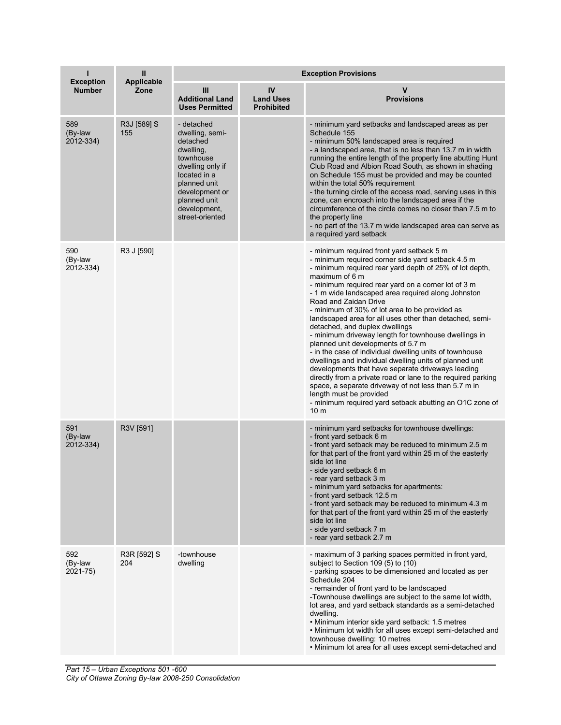| <b>Exception</b>            | $\mathbf{II}$<br><b>Applicable</b> | <b>Exception Provisions</b>                                                                                                                                                                  |                                             |                                                                                                                                                                                                                                                                                                                                                                                                                                                                                                                                                                                                                                                                                                                                                                                                                                                                                                                                                                            |  |
|-----------------------------|------------------------------------|----------------------------------------------------------------------------------------------------------------------------------------------------------------------------------------------|---------------------------------------------|----------------------------------------------------------------------------------------------------------------------------------------------------------------------------------------------------------------------------------------------------------------------------------------------------------------------------------------------------------------------------------------------------------------------------------------------------------------------------------------------------------------------------------------------------------------------------------------------------------------------------------------------------------------------------------------------------------------------------------------------------------------------------------------------------------------------------------------------------------------------------------------------------------------------------------------------------------------------------|--|
| <b>Number</b>               | Zone                               | Ш<br><b>Additional Land</b><br><b>Uses Permitted</b>                                                                                                                                         | IV<br><b>Land Uses</b><br><b>Prohibited</b> | v<br><b>Provisions</b>                                                                                                                                                                                                                                                                                                                                                                                                                                                                                                                                                                                                                                                                                                                                                                                                                                                                                                                                                     |  |
| 589<br>(By-law<br>2012-334) | R3J [589] S<br>155                 | - detached<br>dwelling, semi-<br>detached<br>dwelling,<br>townhouse<br>dwelling only if<br>located in a<br>planned unit<br>development or<br>planned unit<br>development,<br>street-oriented |                                             | - minimum yard setbacks and landscaped areas as per<br>Schedule 155<br>- minimum 50% landscaped area is required<br>- a landscaped area, that is no less than 13.7 m in width<br>running the entire length of the property line abutting Hunt<br>Club Road and Albion Road South, as shown in shading<br>on Schedule 155 must be provided and may be counted<br>within the total 50% requirement<br>- the turning circle of the access road, serving uses in this<br>zone, can encroach into the landscaped area if the<br>circumference of the circle comes no closer than 7.5 m to<br>the property line<br>- no part of the 13.7 m wide landscaped area can serve as<br>a required yard setback                                                                                                                                                                                                                                                                          |  |
| 590<br>(By-law<br>2012-334) | R3 J [590]                         |                                                                                                                                                                                              |                                             | - minimum required front yard setback 5 m<br>- minimum required corner side yard setback 4.5 m<br>- minimum required rear yard depth of 25% of lot depth,<br>maximum of 6 m<br>- minimum required rear yard on a corner lot of 3 m<br>- 1 m wide landscaped area required along Johnston<br>Road and Zaidan Drive<br>- minimum of 30% of lot area to be provided as<br>landscaped area for all uses other than detached, semi-<br>detached, and duplex dwellings<br>- minimum driveway length for townhouse dwellings in<br>planned unit developments of 5.7 m<br>- in the case of individual dwelling units of townhouse<br>dwellings and individual dwelling units of planned unit<br>developments that have separate driveways leading<br>directly from a private road or lane to the required parking<br>space, a separate driveway of not less than 5.7 m in<br>length must be provided<br>- minimum required yard setback abutting an O1C zone of<br>10 <sub>m</sub> |  |
| 591<br>(By-law<br>2012-334) | R3V [591]                          |                                                                                                                                                                                              |                                             | - minimum yard setbacks for townhouse dwellings:<br>- front yard setback 6 m<br>- front yard setback may be reduced to minimum 2.5 m<br>for that part of the front yard within 25 m of the easterly<br>side lot line<br>- side yard setback 6 m<br>- rear yard setback 3 m<br>- minimum yard setbacks for apartments:<br>- front yard setback 12.5 m<br>- front yard setback may be reduced to minimum 4.3 m<br>for that part of the front yard within 25 m of the easterly<br>side lot line<br>- side yard setback 7 m<br>- rear yard setback 2.7 m                                                                                                                                                                                                                                                                                                                                                                                                                       |  |
| 592<br>(By-law<br>2021-75)  | R3R [592] S<br>204                 | -townhouse<br>dwelling                                                                                                                                                                       |                                             | - maximum of 3 parking spaces permitted in front yard,<br>subject to Section 109 (5) to (10)<br>- parking spaces to be dimensioned and located as per<br>Schedule 204<br>- remainder of front yard to be landscaped<br>-Townhouse dwellings are subject to the same lot width,<br>lot area, and yard setback standards as a semi-detached<br>dwelling.<br>. Minimum interior side yard setback: 1.5 metres<br>• Minimum lot width for all uses except semi-detached and<br>townhouse dwelling: 10 metres<br>• Minimum lot area for all uses except semi-detached and                                                                                                                                                                                                                                                                                                                                                                                                       |  |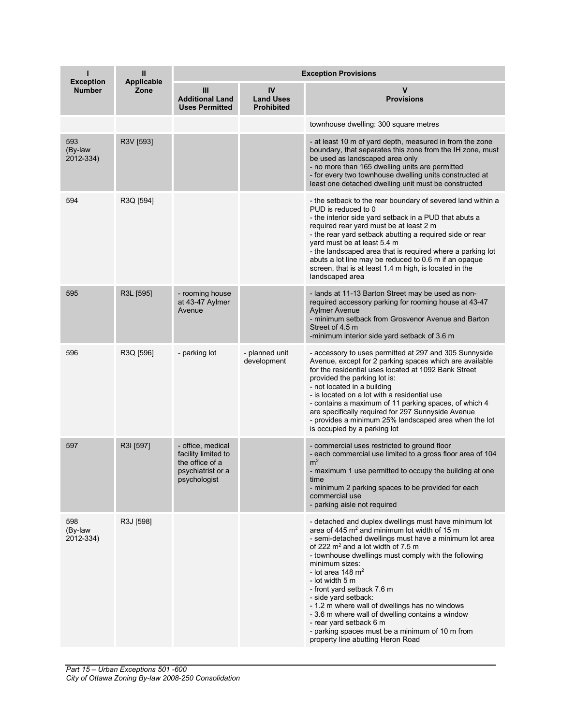| <b>Exception</b>            | Ш<br><b>Applicable</b> | <b>Exception Provisions</b>                                                                      |                                             |                                                                                                                                                                                                                                                                                                                                                                                                                                                                                                                                                                                                                         |  |
|-----------------------------|------------------------|--------------------------------------------------------------------------------------------------|---------------------------------------------|-------------------------------------------------------------------------------------------------------------------------------------------------------------------------------------------------------------------------------------------------------------------------------------------------------------------------------------------------------------------------------------------------------------------------------------------------------------------------------------------------------------------------------------------------------------------------------------------------------------------------|--|
| <b>Number</b>               | Zone                   | Ш<br><b>Additional Land</b><br><b>Uses Permitted</b>                                             | IV<br><b>Land Uses</b><br><b>Prohibited</b> | v<br><b>Provisions</b>                                                                                                                                                                                                                                                                                                                                                                                                                                                                                                                                                                                                  |  |
|                             |                        |                                                                                                  |                                             | townhouse dwelling: 300 square metres                                                                                                                                                                                                                                                                                                                                                                                                                                                                                                                                                                                   |  |
| 593<br>(By-law<br>2012-334) | R3V [593]              |                                                                                                  |                                             | - at least 10 m of yard depth, measured in from the zone<br>boundary, that separates this zone from the IH zone, must<br>be used as landscaped area only<br>- no more than 165 dwelling units are permitted<br>- for every two townhouse dwelling units constructed at<br>least one detached dwelling unit must be constructed                                                                                                                                                                                                                                                                                          |  |
| 594                         | R3Q [594]              |                                                                                                  |                                             | - the setback to the rear boundary of severed land within a<br>PUD is reduced to 0<br>- the interior side yard setback in a PUD that abuts a<br>required rear yard must be at least 2 m<br>- the rear yard setback abutting a required side or rear<br>yard must be at least 5.4 m<br>- the landscaped area that is required where a parking lot<br>abuts a lot line may be reduced to 0.6 m if an opaque<br>screen, that is at least 1.4 m high, is located in the<br>landscaped area                                                                                                                                  |  |
| 595                         | R3L [595]              | - rooming house<br>at 43-47 Aylmer<br>Avenue                                                     |                                             | - lands at 11-13 Barton Street may be used as non-<br>required accessory parking for rooming house at 43-47<br><b>Avlmer Avenue</b><br>- minimum setback from Grosvenor Avenue and Barton<br>Street of 4.5 m<br>-minimum interior side yard setback of 3.6 m                                                                                                                                                                                                                                                                                                                                                            |  |
| 596                         | R3Q [596]              | - parking lot                                                                                    | - planned unit<br>development               | - accessory to uses permitted at 297 and 305 Sunnyside<br>Avenue, except for 2 parking spaces which are available<br>for the residential uses located at 1092 Bank Street<br>provided the parking lot is:<br>- not located in a building<br>- is located on a lot with a residential use<br>- contains a maximum of 11 parking spaces, of which 4<br>are specifically required for 297 Sunnyside Avenue<br>- provides a minimum 25% landscaped area when the lot<br>is occupied by a parking lot                                                                                                                        |  |
| 597                         | R3I [597]              | - office, medical<br>facility limited to<br>the office of a<br>psychiatrist or a<br>psychologist |                                             | - commercial uses restricted to ground floor<br>- each commercial use limited to a gross floor area of 104<br>m <sup>2</sup><br>- maximum 1 use permitted to occupy the building at one<br>time<br>- minimum 2 parking spaces to be provided for each<br>commercial use<br>- parking aisle not required                                                                                                                                                                                                                                                                                                                 |  |
| 598<br>(By-law<br>2012-334) | R3J [598]              |                                                                                                  |                                             | - detached and duplex dwellings must have minimum lot<br>area of 445 m <sup>2</sup> and minimum lot width of 15 m<br>- semi-detached dwellings must have a minimum lot area<br>of 222 $m^2$ and a lot width of 7.5 m<br>- townhouse dwellings must comply with the following<br>minimum sizes:<br>- lot area 148 $m2$<br>- lot width 5 m<br>- front yard setback 7.6 m<br>- side yard setback:<br>- 1.2 m where wall of dwellings has no windows<br>- 3.6 m where wall of dwelling contains a window<br>- rear yard setback 6 m<br>- parking spaces must be a minimum of 10 m from<br>property line abutting Heron Road |  |